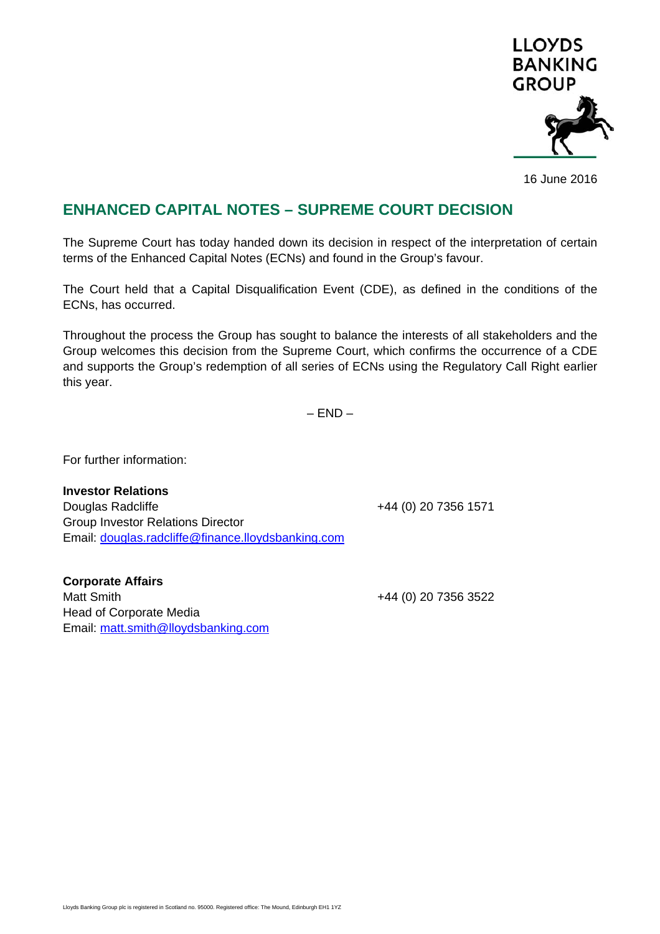

16 June 2016

## **ENHANCED CAPITAL NOTES – SUPREME COURT DECISION**

The Supreme Court has today handed down its decision in respect of the interpretation of certain terms of the Enhanced Capital Notes (ECNs) and found in the Group's favour.

The Court held that a Capital Disqualification Event (CDE), as defined in the conditions of the ECNs, has occurred.

Throughout the process the Group has sought to balance the interests of all stakeholders and the Group welcomes this decision from the Supreme Court, which confirms the occurrence of a CDE and supports the Group's redemption of all series of ECNs using the Regulatory Call Right earlier this year.

 $-$  END  $-$ 

For further information:

**Investor Relations**  Douglas Radcliffe +44 (0) 20 7356 1571 Group Investor Relations Director Email: douglas.radcliffe@finance.lloydsbanking.com

**Corporate Affairs**  Matt Smith  $+44$  (0) 20 7356 3522 Head of Corporate Media Email: matt.smith@lloydsbanking.com